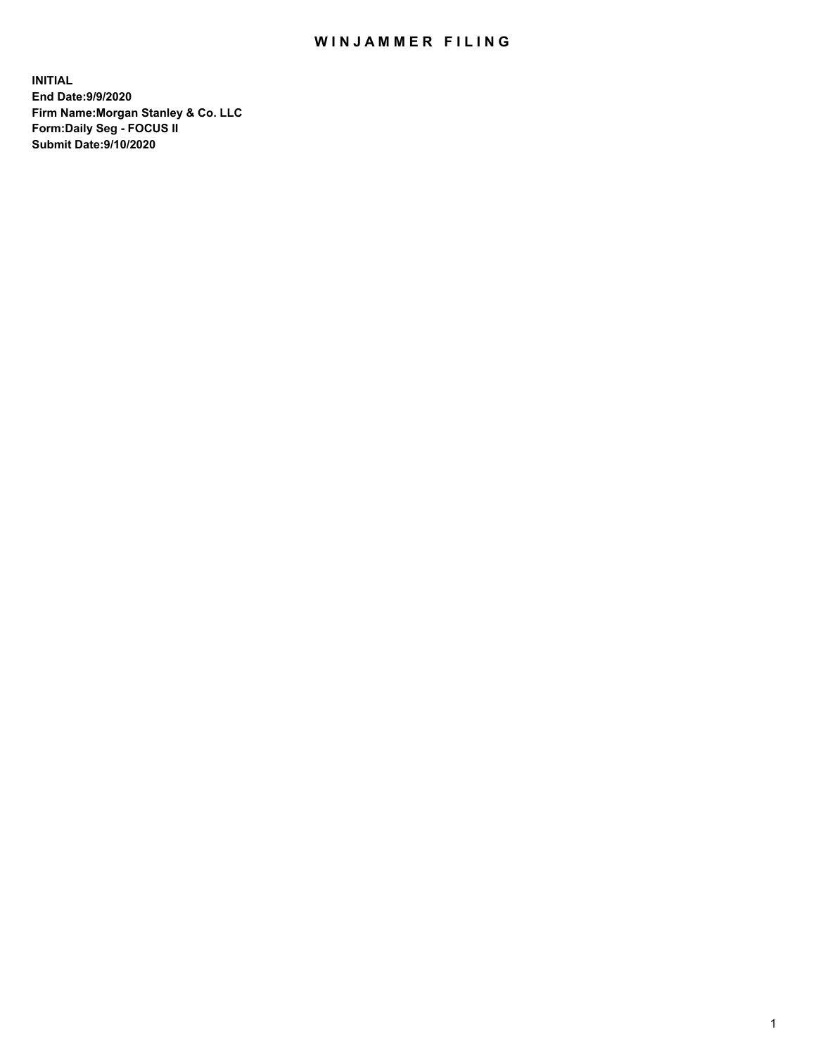## WIN JAMMER FILING

**INITIAL End Date:9/9/2020 Firm Name:Morgan Stanley & Co. LLC Form:Daily Seg - FOCUS II Submit Date:9/10/2020**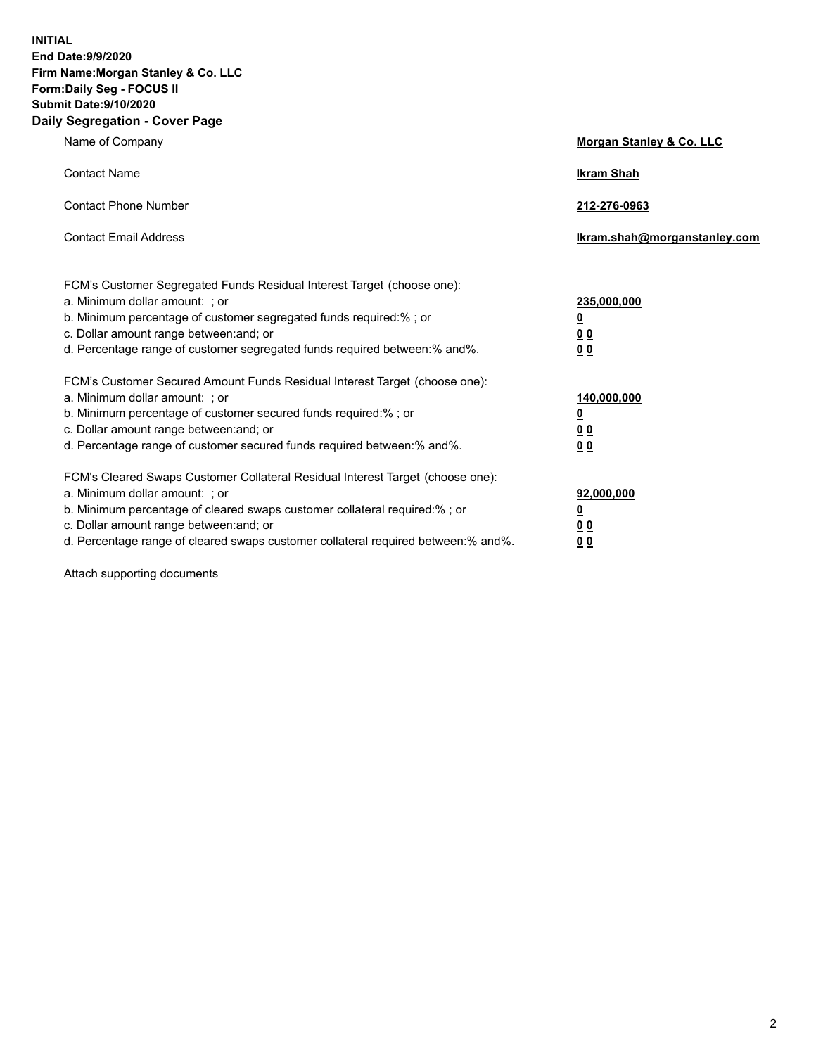**INITIAL End Date:9/9/2020 Firm Name:Morgan Stanley & Co. LLC Form:Daily Seg - FOCUS II Submit Date:9/10/2020 Daily Segregation - Cover Page**

| Name of Company                                                                                                                                                                                                                                                                                                                | <b>Morgan Stanley &amp; Co. LLC</b>                    |
|--------------------------------------------------------------------------------------------------------------------------------------------------------------------------------------------------------------------------------------------------------------------------------------------------------------------------------|--------------------------------------------------------|
| <b>Contact Name</b>                                                                                                                                                                                                                                                                                                            | <b>Ikram Shah</b>                                      |
| <b>Contact Phone Number</b>                                                                                                                                                                                                                                                                                                    | 212-276-0963                                           |
| <b>Contact Email Address</b>                                                                                                                                                                                                                                                                                                   | Ikram.shah@morganstanley.com                           |
| FCM's Customer Segregated Funds Residual Interest Target (choose one):<br>a. Minimum dollar amount: ; or<br>b. Minimum percentage of customer segregated funds required:% ; or<br>c. Dollar amount range between: and; or<br>d. Percentage range of customer segregated funds required between:% and%.                         | 235,000,000<br><u>0</u><br>0 Q<br>0 Q                  |
| FCM's Customer Secured Amount Funds Residual Interest Target (choose one):<br>a. Minimum dollar amount: ; or<br>b. Minimum percentage of customer secured funds required:% ; or<br>c. Dollar amount range between: and; or<br>d. Percentage range of customer secured funds required between: % and %.                         | 140,000,000<br><u>0</u><br><u>00</u><br>0 <sub>0</sub> |
| FCM's Cleared Swaps Customer Collateral Residual Interest Target (choose one):<br>a. Minimum dollar amount: ; or<br>b. Minimum percentage of cleared swaps customer collateral required:% ; or<br>c. Dollar amount range between: and; or<br>d. Percentage range of cleared swaps customer collateral required between:% and%. | 92,000,000<br><u>0</u><br>0 Q<br>00                    |

Attach supporting documents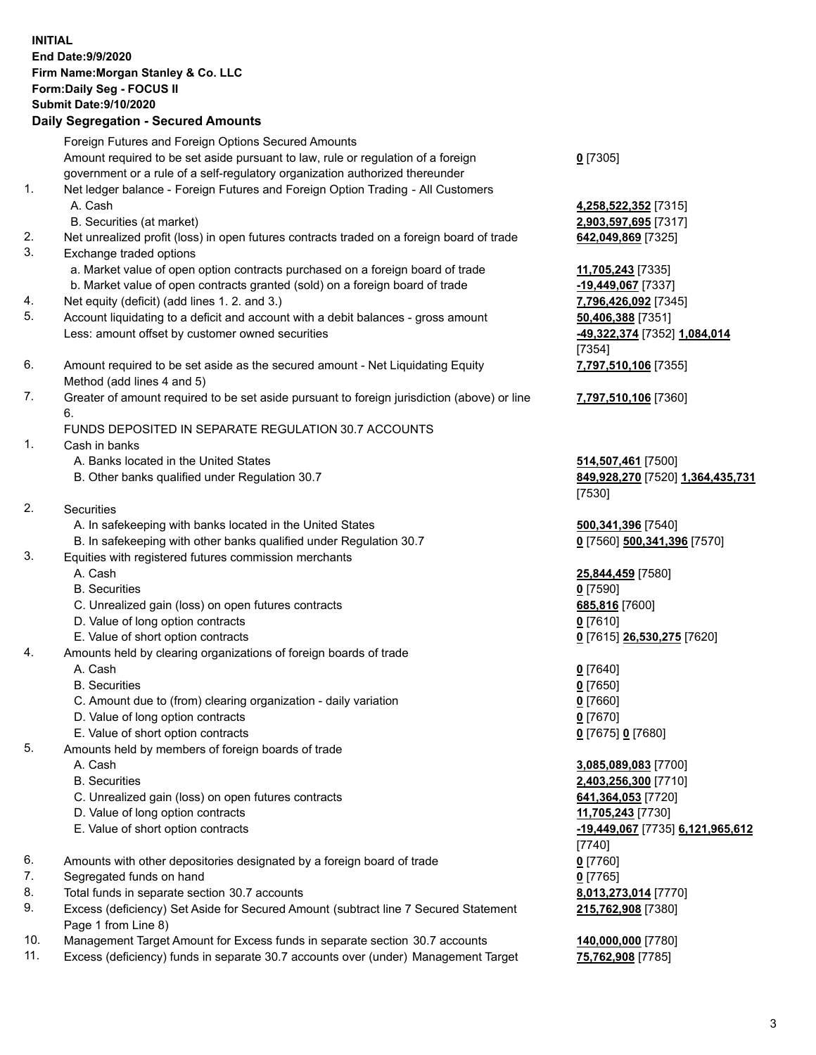## **INITIAL End Date:9/9/2020 Firm Name:Morgan Stanley & Co. LLC Form:Daily Seg - FOCUS II Submit Date:9/10/2020 Daily Segregation - Secured Amounts** Foreign Futures and Foreign Options Secured Amounts Amount required to be set aside pursuant to law, rule or regulation of a foreign government or a rule of a self-regulatory organization authorized thereunder **0** [7305] 1. Net ledger balance - Foreign Futures and Foreign Option Trading - All Customers A. Cash **4,258,522,352** [7315] B. Securities (at market) **2,903,597,695** [7317] 2. Net unrealized profit (loss) in open futures contracts traded on a foreign board of trade **642,049,869** [7325] 3. Exchange traded options a. Market value of open option contracts purchased on a foreign board of trade **11,705,243** [7335] b. Market value of open contracts granted (sold) on a foreign board of trade **-19,449,067** [7337] 4. Net equity (deficit) (add lines 1. 2. and 3.) **7,796,426,092** [7345] 5. Account liquidating to a deficit and account with a debit balances - gross amount **50,406,388** [7351] Less: amount offset by customer owned securities **-49,322,374** [7352] **1,084,014** [7354] 6. Amount required to be set aside as the secured amount - Net Liquidating Equity Method (add lines 4 and 5) **7,797,510,106** [7355] 7. Greater of amount required to be set aside pursuant to foreign jurisdiction (above) or line 6. **7,797,510,106** [7360] FUNDS DEPOSITED IN SEPARATE REGULATION 30.7 ACCOUNTS 1. Cash in banks A. Banks located in the United States **514,507,461** [7500] B. Other banks qualified under Regulation 30.7 **849,928,270** [7520] **1,364,435,731** [7530] 2. Securities A. In safekeeping with banks located in the United States **500,341,396** [7540] B. In safekeeping with other banks qualified under Regulation 30.7 **0** [7560] **500,341,396** [7570] 3. Equities with registered futures commission merchants A. Cash **25,844,459** [7580] B. Securities **0** [7590] C. Unrealized gain (loss) on open futures contracts **685,816** [7600] D. Value of long option contracts **0** [7610] E. Value of short option contracts **0** [7615] **26,530,275** [7620] 4. Amounts held by clearing organizations of foreign boards of trade A. Cash **0** [7640] B. Securities **0** [7650] C. Amount due to (from) clearing organization - daily variation **0** [7660] D. Value of long option contracts **0** [7670] E. Value of short option contracts **0** [7675] **0** [7680] 5. Amounts held by members of foreign boards of trade A. Cash **3,085,089,083** [7700] B. Securities **2,403,256,300** [7710] C. Unrealized gain (loss) on open futures contracts **641,364,053** [7720] D. Value of long option contracts **11,705,243** [7730] E. Value of short option contracts **-19,449,067** [7735] **6,121,965,612** [7740] 6. Amounts with other depositories designated by a foreign board of trade **0** [7760] 7. Segregated funds on hand **0** [7765] 8. Total funds in separate section 30.7 accounts **8,013,273,014** [7770] 9. Excess (deficiency) Set Aside for Secured Amount (subtract line 7 Secured Statement Page 1 from Line 8) **215,762,908** [7380]

- 10. Management Target Amount for Excess funds in separate section 30.7 accounts **140,000,000** [7780]
- 11. Excess (deficiency) funds in separate 30.7 accounts over (under) Management Target **75,762,908** [7785]

3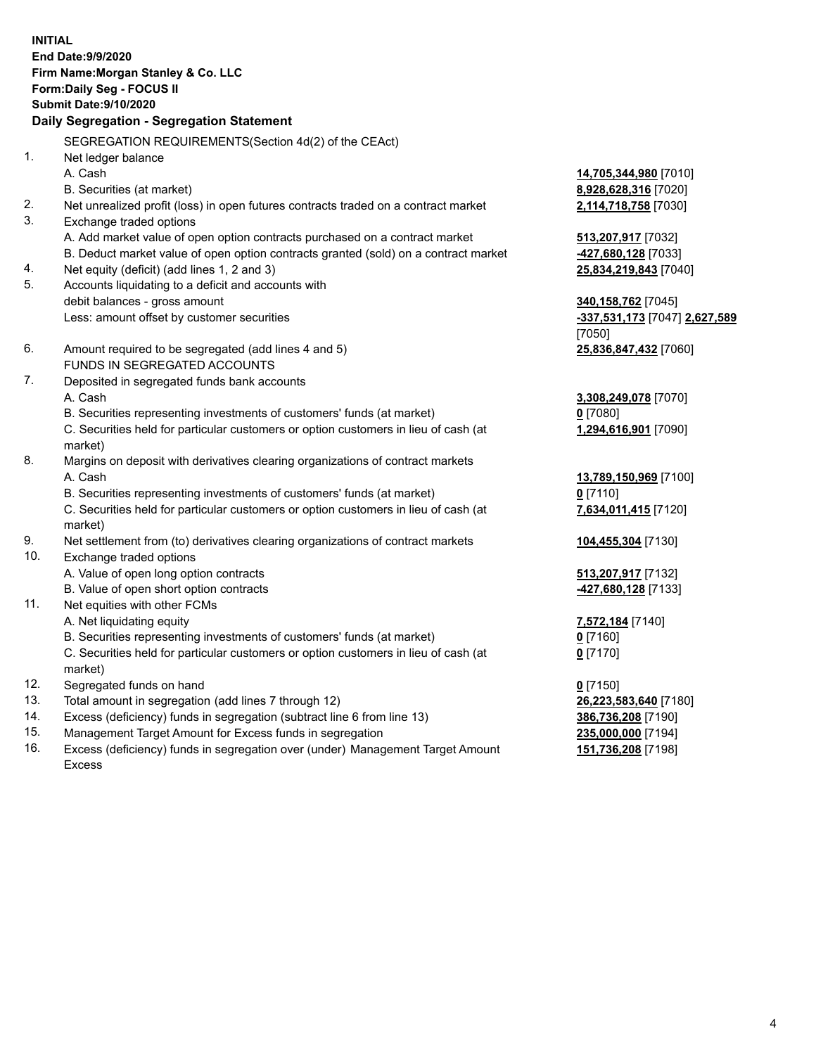**INITIAL End Date:9/9/2020 Firm Name:Morgan Stanley & Co. LLC Form:Daily Seg - FOCUS II Submit Date:9/10/2020 Daily Segregation - Segregation Statement** SEGREGATION REQUIREMENTS(Section 4d(2) of the CEAct) 1. Net ledger balance A. Cash **14,705,344,980** [7010] B. Securities (at market) **8,928,628,316** [7020] 2. Net unrealized profit (loss) in open futures contracts traded on a contract market **2,114,718,758** [7030] 3. Exchange traded options A. Add market value of open option contracts purchased on a contract market **513,207,917** [7032] B. Deduct market value of open option contracts granted (sold) on a contract market **-427,680,128** [7033] 4. Net equity (deficit) (add lines 1, 2 and 3) **25,834,219,843** [7040] 5. Accounts liquidating to a deficit and accounts with debit balances - gross amount **340,158,762** [7045] Less: amount offset by customer securities **-337,531,173** [7047] **2,627,589** [7050] 6. Amount required to be segregated (add lines 4 and 5) **25,836,847,432** [7060] FUNDS IN SEGREGATED ACCOUNTS 7. Deposited in segregated funds bank accounts A. Cash **3,308,249,078** [7070] B. Securities representing investments of customers' funds (at market) **0** [7080] C. Securities held for particular customers or option customers in lieu of cash (at market) **1,294,616,901** [7090] 8. Margins on deposit with derivatives clearing organizations of contract markets A. Cash **13,789,150,969** [7100] B. Securities representing investments of customers' funds (at market) **0** [7110] C. Securities held for particular customers or option customers in lieu of cash (at market) **7,634,011,415** [7120] 9. Net settlement from (to) derivatives clearing organizations of contract markets **104,455,304** [7130] 10. Exchange traded options A. Value of open long option contracts **513,207,917** [7132] B. Value of open short option contracts **-427,680,128** [7133] 11. Net equities with other FCMs A. Net liquidating equity **7,572,184** [7140] B. Securities representing investments of customers' funds (at market) **0** [7160] C. Securities held for particular customers or option customers in lieu of cash (at market) **0** [7170] 12. Segregated funds on hand **0** [7150] 13. Total amount in segregation (add lines 7 through 12) **26,223,583,640** [7180] 14. Excess (deficiency) funds in segregation (subtract line 6 from line 13) **386,736,208** [7190] 15. Management Target Amount for Excess funds in segregation **235,000,000** [7194]

16. Excess (deficiency) funds in segregation over (under) Management Target Amount Excess

**151,736,208** [7198]